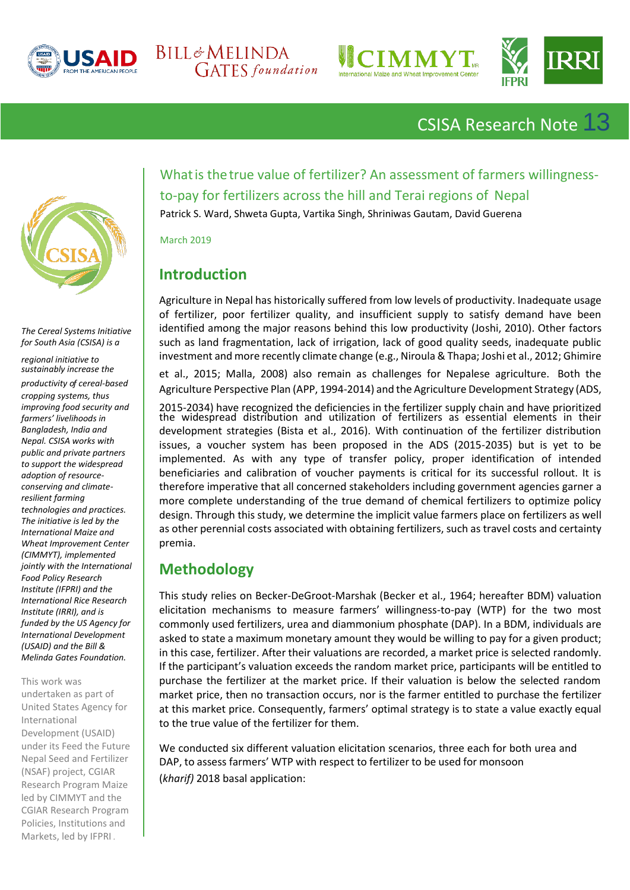







CSISA Research Note 13



*The Cereal Systems Initiative for South Asia (CSISA) is a* 

*regional initiative to sustainably increase the* 

*productivity of cereal-based cropping systems, thus improving food security and farmers' livelihoods in Bangladesh, India and Nepal. CSISA works with public and private partners to support the widespread adoption of resourceconserving and climateresilient farming technologies and practices. The initiative is led by the International Maize and Wheat Improvement Center (CIMMYT), implemented jointly with the International Food Policy Research Institute (IFPRI) and the International Rice Research Institute (IRRI), and is funded by the US Agency for International Development (USAID) and the Bill & Melinda Gates Foundation.* 

This work was undertaken as part of United States Agency for International Development (USAID) under its Feed the Future Nepal Seed and Fertilizer (NSAF) project, CGIAR Research Program Maize led by CIMMYT and the CGIAR Research Program Policies, Institutions and Markets, led by IFPRI *.*

Whatis thetrue value of fertilizer? An assessment of farmers willingnessto-pay for fertilizers across the hill and Terai regions of Nepal

Patrick S. Ward, Shweta Gupta, Vartika Singh, Shriniwas Gautam, David Guerena

March 2019

# **Introduction**

Agriculture in Nepal has historically suffered from low levels of productivity. Inadequate usage of fertilizer, poor fertilizer quality, and insufficient supply to satisfy demand have been identified among the major reasons behind this low productivity (Joshi, 2010). Other factors such as land fragmentation, lack of irrigation, lack of good quality seeds, inadequate public investment and more recently climate change (e.g., Niroula & Thapa; Joshi et al., 2012; Ghimire

et al., 2015; Malla, 2008) also remain as challenges for Nepalese agriculture. Both the Agriculture Perspective Plan (APP, 1994-2014) and the Agriculture Development Strategy (ADS,

2015-2034) have recognized the deficiencies in the fertilizer supply chain and have prioritized the widespread distribution and utilization of fertilizers as essential elements in their development strategies (Bista et al., 2016). With continuation of the fertilizer distribution issues, a voucher system has been proposed in the ADS (2015-2035) but is yet to be implemented. As with any type of transfer policy, proper identification of intended beneficiaries and calibration of voucher payments is critical for its successful rollout. It is therefore imperative that all concerned stakeholders including government agencies garner a more complete understanding of the true demand of chemical fertilizers to optimize policy design. Through this study, we determine the implicit value farmers place on fertilizers as well as other perennial costs associated with obtaining fertilizers, such as travel costs and certainty premia.

## **Methodology**

This study relies on Becker-DeGroot-Marshak (Becker et al., 1964; hereafter BDM) valuation elicitation mechanisms to measure farmers' willingness-to-pay (WTP) for the two most commonly used fertilizers, urea and diammonium phosphate (DAP). In a BDM, individuals are asked to state a maximum monetary amount they would be willing to pay for a given product; in this case, fertilizer. After their valuations are recorded, a market price is selected randomly. If the participant's valuation exceeds the random market price, participants will be entitled to purchase the fertilizer at the market price. If their valuation is below the selected random market price, then no transaction occurs, nor is the farmer entitled to purchase the fertilizer at this market price. Consequently, farmers' optimal strategy is to state a value exactly equal to the true value of the fertilizer for them.

We conducted six different valuation elicitation scenarios, three each for both urea and DAP, to assess farmers' WTP with respect to fertilizer to be used for monsoon (*kharif)* 2018 basal application: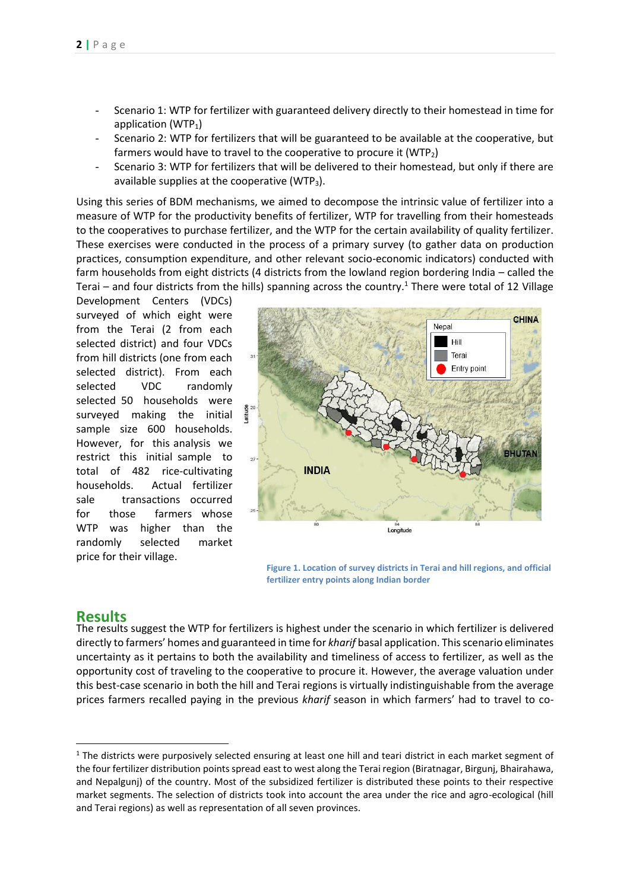- Scenario 1: WTP for fertilizer with guaranteed delivery directly to their homestead in time for application ( $WTP_1$ )
- Scenario 2: WTP for fertilizers that will be guaranteed to be available at the cooperative, but farmers would have to travel to the cooperative to procure it ( $WTP<sub>2</sub>$ )
- Scenario 3: WTP for fertilizers that will be delivered to their homestead, but only if there are available supplies at the cooperative (WTP3).

Using this series of BDM mechanisms, we aimed to decompose the intrinsic value of fertilizer into a measure of WTP for the productivity benefits of fertilizer, WTP for travelling from their homesteads to the cooperatives to purchase fertilizer, and the WTP for the certain availability of quality fertilizer. These exercises were conducted in the process of a primary survey (to gather data on production practices, consumption expenditure, and other relevant socio-economic indicators) conducted with farm households from eight districts (4 districts from the lowland region bordering India – called the Terai – and four districts from the hills) spanning across the country.<sup>1</sup> There were total of 12 Village

Development Centers (VDCs) surveyed of which eight were from the Terai (2 from each selected district) and four VDCs from hill districts (one from each selected district). From each selected VDC randomly selected 50 households were surveyed making the initial sample size 600 households. However, for this analysis we restrict this initial sample to total of 482 rice-cultivating households. Actual fertilizer sale transactions occurred for those farmers whose WTP was higher than the randomly selected market price for their village.



**Figure 1. Location of survey districts in Terai and hill regions, and official fertilizer entry points along Indian border** 

#### **Results**

The results suggest the WTP for fertilizers is highest under the scenario in which fertilizer is delivered directly to farmers' homes and guaranteed in time for *kharif* basal application. This scenario eliminates uncertainty as it pertains to both the availability and timeliness of access to fertilizer, as well as the opportunity cost of traveling to the cooperative to procure it. However, the average valuation under this best-case scenario in both the hill and Terai regions is virtually indistinguishable from the average prices farmers recalled paying in the previous *kharif* season in which farmers' had to travel to co-

 $1$  The districts were purposively selected ensuring at least one hill and teari district in each market segment of the four fertilizer distribution points spread east to west along the Terai region (Biratnagar, Birgunj, Bhairahawa, and Nepalgunj) of the country. Most of the subsidized fertilizer is distributed these points to their respective market segments. The selection of districts took into account the area under the rice and agro-ecological (hill and Terai regions) as well as representation of all seven provinces.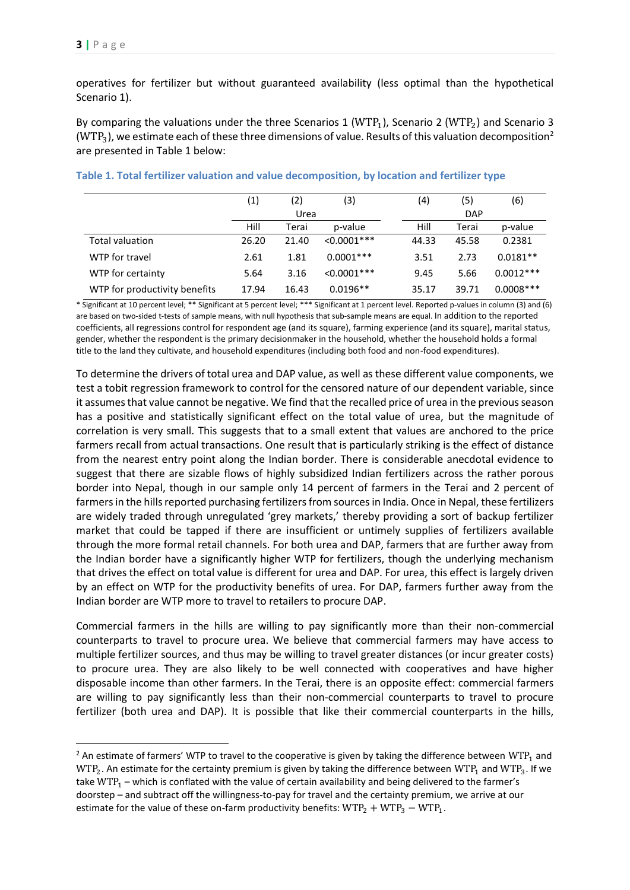$\overline{a}$ 

operatives for fertilizer but without guaranteed availability (less optimal than the hypothetical Scenario 1).

By comparing the valuations under the three Scenarios 1 (WTP<sub>1</sub>), Scenario 2 (WTP<sub>2</sub>) and Scenario 3 ( $WTP<sub>3</sub>$ ), we estimate each of these three dimensions of value. Results of this valuation decomposition<sup>2</sup> are presented in Table 1 below:

|                               | (1)   | (2)   | (3)            | (4)   | (5)        | (6)          |  |
|-------------------------------|-------|-------|----------------|-------|------------|--------------|--|
|                               | Urea  |       |                |       | <b>DAP</b> |              |  |
|                               | Hill  | Terai | p-value        | Hill  | Terai      | p-value      |  |
| <b>Total valuation</b>        | 26.20 | 21.40 | $< 0.0001$ *** | 44.33 | 45.58      | 0.2381       |  |
| WTP for travel                | 2.61  | 1.81  | $0.0001***$    | 3.51  | 2.73       | $0.0181**$   |  |
| WTP for certainty             | 5.64  | 3.16  | $< 0.0001$ *** | 9.45  | 5.66       | $0.0012***$  |  |
| WTP for productivity benefits | 17.94 | 16.43 | $0.0196**$     | 35.17 | 39.71      | $0.0008$ *** |  |

**Table 1. Total fertilizer valuation and value decomposition, by location and fertilizer type**

\* Significant at 10 percent level; \*\* Significant at 5 percent level; \*\*\* Significant at 1 percent level. Reported p-values in column (3) and (6) are based on two-sided t-tests of sample means, with null hypothesis that sub-sample means are equal. In addition to the reported coefficients, all regressions control for respondent age (and its square), farming experience (and its square), marital status, gender, whether the respondent is the primary decisionmaker in the household, whether the household holds a formal title to the land they cultivate, and household expenditures (including both food and non-food expenditures).

To determine the drivers of total urea and DAP value, as well as these different value components, we test a tobit regression framework to control for the censored nature of our dependent variable, since it assumes that value cannot be negative. We find that the recalled price of urea in the previous season has a positive and statistically significant effect on the total value of urea, but the magnitude of correlation is very small. This suggests that to a small extent that values are anchored to the price farmers recall from actual transactions. One result that is particularly striking is the effect of distance from the nearest entry point along the Indian border. There is considerable anecdotal evidence to suggest that there are sizable flows of highly subsidized Indian fertilizers across the rather porous border into Nepal, though in our sample only 14 percent of farmers in the Terai and 2 percent of farmers in the hills reported purchasing fertilizers from sources in India. Once in Nepal, these fertilizers are widely traded through unregulated 'grey markets,' thereby providing a sort of backup fertilizer market that could be tapped if there are insufficient or untimely supplies of fertilizers available through the more formal retail channels. For both urea and DAP, farmers that are further away from the Indian border have a significantly higher WTP for fertilizers, though the underlying mechanism that drives the effect on total value is different for urea and DAP. For urea, this effect is largely driven by an effect on WTP for the productivity benefits of urea. For DAP, farmers further away from the Indian border are WTP more to travel to retailers to procure DAP.

Commercial farmers in the hills are willing to pay significantly more than their non-commercial counterparts to travel to procure urea. We believe that commercial farmers may have access to multiple fertilizer sources, and thus may be willing to travel greater distances (or incur greater costs) to procure urea. They are also likely to be well connected with cooperatives and have higher disposable income than other farmers. In the Terai, there is an opposite effect: commercial farmers are willing to pay significantly less than their non-commercial counterparts to travel to procure fertilizer (both urea and DAP). It is possible that like their commercial counterparts in the hills,

 $<sup>2</sup>$  An estimate of farmers' WTP to travel to the cooperative is given by taking the difference between WTP<sub>1</sub> and</sup>  $WTP_2$ . An estimate for the certainty premium is given by taking the difference between  $WTP_1$  and  $WTP_3$ . If we take WTP<sub>1</sub> – which is conflated with the value of certain availability and being delivered to the farmer's doorstep – and subtract off the willingness-to-pay for travel and the certainty premium, we arrive at our estimate for the value of these on-farm productivity benefits:  $WTP_2 + WTP_3 - WTP_1$ .